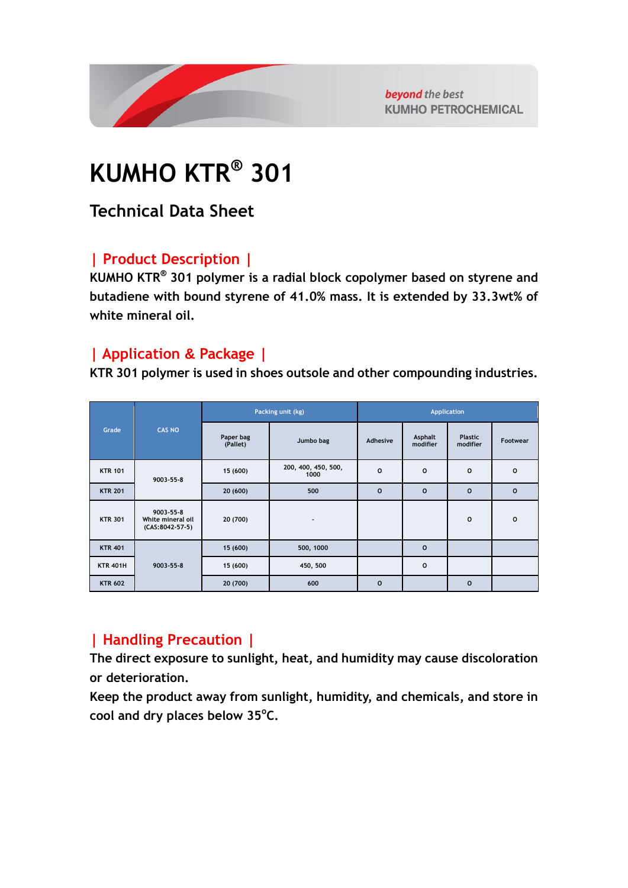

beyond the best **KUMHO PETROCHEMICAL** 

# **KUMHO KTR® 301**

**Technical Data Sheet**

#### **| Product Description |**

**KUMHO KTR® 301 polymer is a radial block copolymer based on styrene and butadiene with bound styrene of 41.0% mass. It is extended by 33.3wt% of white mineral oil.**

#### **| Application & Package |**

**KTR 301 polymer is used in shoes outsole and other compounding industries.**

| Grade           | <b>CAS NO</b>                                             | Packing unit (kg)     |                             | <b>Application</b> |                     |                            |              |
|-----------------|-----------------------------------------------------------|-----------------------|-----------------------------|--------------------|---------------------|----------------------------|--------------|
|                 |                                                           | Paper bag<br>(Pallet) | Jumbo bag                   | Adhesive           | Asphalt<br>modifier | <b>Plastic</b><br>modifier | Footwear     |
| <b>KTR 101</b>  | $9003 - 55 - 8$                                           | 15 (600)              | 200, 400, 450, 500,<br>1000 | $\mathbf 0$        | $\mathbf 0$         | $\circ$                    | $\mathbf 0$  |
| <b>KTR 201</b>  |                                                           | 20 (600)              | 500                         | $\mathbf{o}$       | $\mathbf{o}$        | $\mathbf{o}$               | $\mathbf 0$  |
| <b>KTR 301</b>  | $9003 - 55 - 8$<br>White mineral oil<br>$(CAS:8042-57-5)$ | 20 (700)              | $\overline{\phantom{a}}$    |                    |                     | $\circ$                    | $\mathbf{o}$ |
| <b>KTR 401</b>  | $9003 - 55 - 8$                                           | 15 (600)              | 500, 1000                   |                    | $\mathbf{o}$        |                            |              |
| <b>KTR 401H</b> |                                                           | 15 (600)              | 450, 500                    |                    | $\mathbf 0$         |                            |              |
| <b>KTR 602</b>  |                                                           | 20 (700)              | 600                         | $\mathbf{o}$       |                     | $\mathbf{o}$               |              |

### **| Handling Precaution |**

**The direct exposure to sunlight, heat, and humidity may cause discoloration or deterioration.**

**Keep the product away from sunlight, humidity, and chemicals, and store in cool and dry places below 35<sup>o</sup> C.**